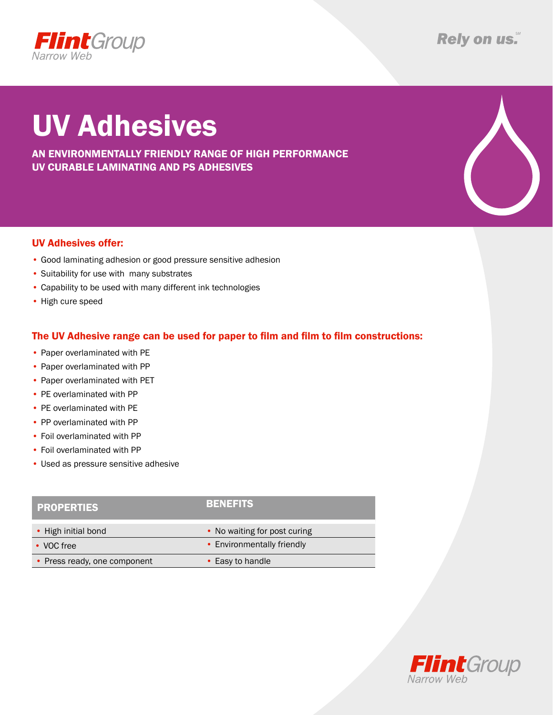

## UV Adhesives

AN environmentally friendly range of high performance UV curable laminating AND PS adhesives

## UV Adhesives offer:

- Good laminating adhesion or good pressure sensitive adhesion
- Suitability for use with many substrates
- Capability to be used with many different ink technologies
- High cure speed

## The UV Adhesive range can be used for paper to film and film to film constructions:

- Paper overlaminated with PE
- Paper overlaminated with PP
- Paper overlaminated with PET
- PE overlaminated with PP
- PE overlaminated with PE
- PP overlaminated with PP
- Foil overlaminated with PP
- Foil overlaminated with PP
- Used as pressure sensitive adhesive

| <b>PROPERTIES</b>            | BENEFITS                     |
|------------------------------|------------------------------|
| • High initial bond          | • No waiting for post curing |
| • VOC free                   | • Environmentally friendly   |
| • Press ready, one component | • Easy to handle             |
|                              |                              |